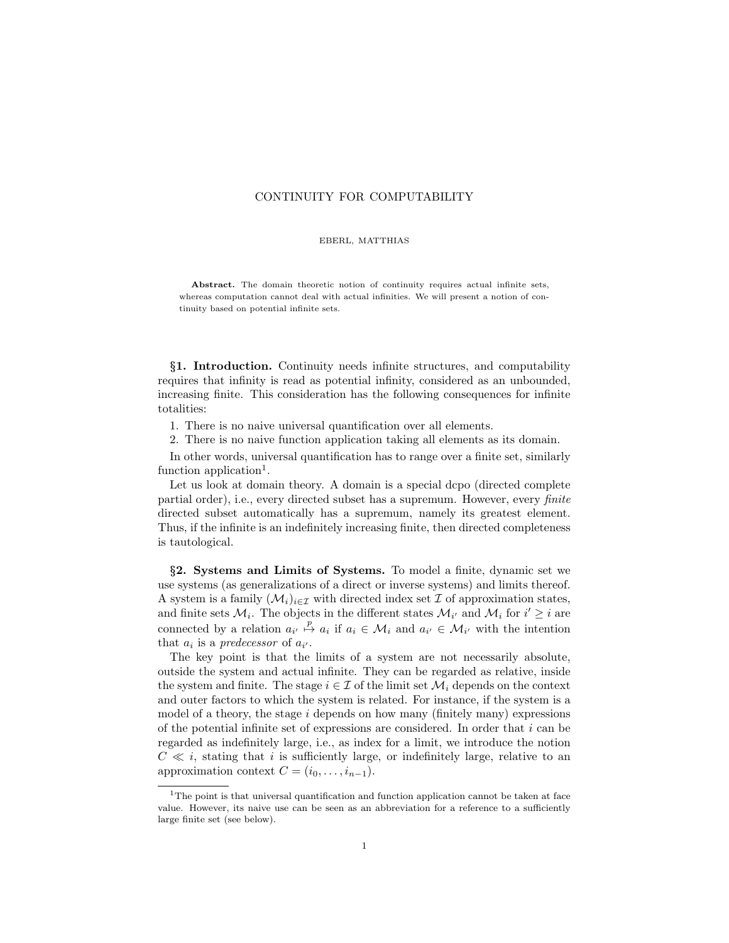## CONTINUITY FOR COMPUTABILITY

## EBERL, MATTHIAS

Abstract. The domain theoretic notion of continuity requires actual infinite sets, whereas computation cannot deal with actual infinities. We will present a notion of continuity based on potential infinite sets.

§1. Introduction. Continuity needs infinite structures, and computability requires that infinity is read as potential infinity, considered as an unbounded, increasing finite. This consideration has the following consequences for infinite totalities:

1. There is no naive universal quantification over all elements.

2. There is no naive function application taking all elements as its domain.

In other words, universal quantification has to range over a finite set, similarly function application<sup>1</sup>.

Let us look at domain theory. A domain is a special dcpo (directed complete partial order), i.e., every directed subset has a supremum. However, every *finite* directed subset automatically has a supremum, namely its greatest element. Thus, if the infinite is an indefinitely increasing finite, then directed completeness is tautological.

§2. Systems and Limits of Systems. To model a finite, dynamic set we use systems (as generalizations of a direct or inverse systems) and limits thereof. A system is a family  $(\mathcal{M}_i)_{i\in\mathcal{I}}$  with directed index set  $\mathcal I$  of approximation states, and finite sets  $\mathcal{M}_i$ . The objects in the different states  $\mathcal{M}_{i'}$  and  $\mathcal{M}_i$  for  $i' \geq i$  are connected by a relation  $a_{i'} \stackrel{p}{\mapsto} a_i$  if  $a_i \in \mathcal{M}_i$  and  $a_{i'} \in \mathcal{M}_{i'}$  with the intention that  $a_i$  is a predecessor of  $a_{i'}$ .

The key point is that the limits of a system are not necessarily absolute, outside the system and actual infinite. They can be regarded as relative, inside the system and finite. The stage  $i \in \mathcal{I}$  of the limit set  $\mathcal{M}_i$  depends on the context and outer factors to which the system is related. For instance, if the system is a model of a theory, the stage  $i$  depends on how many (finitely many) expressions of the potential infinite set of expressions are considered. In order that  $i$  can be regarded as indefinitely large, i.e., as index for a limit, we introduce the notion  $C \ll i$ , stating that i is sufficiently large, or indefinitely large, relative to an approximation context  $C = (i_0, \ldots, i_{n-1}).$ 

<sup>&</sup>lt;sup>1</sup>The point is that universal quantification and function application cannot be taken at face value. However, its naive use can be seen as an abbreviation for a reference to a sufficiently large finite set (see below).